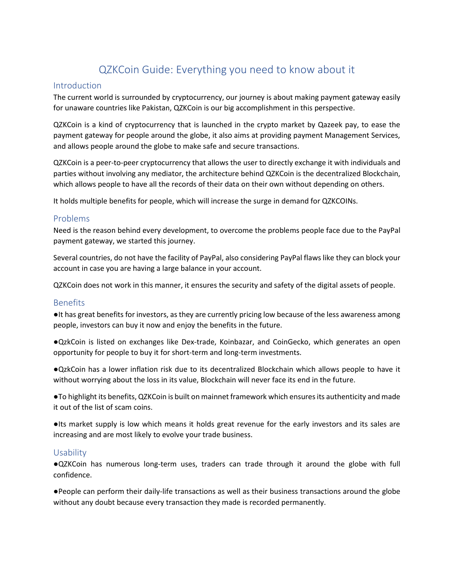# QZKCoin Guide: Everything you need to know about it

### Introduction

The current world is surrounded by cryptocurrency, our journey is about making payment gateway easily for unaware countries like Pakistan, QZKCoin is our big accomplishment in this perspective.

QZKCoin is a kind of cryptocurrency that is launched in the crypto market by Qazeek pay, to ease the payment gateway for people around the globe, it also aims at providing payment Management Services, and allows people around the globe to make safe and secure transactions.

QZKCoin is a peer-to-peer cryptocurrency that allows the user to directly exchange it with individuals and parties without involving any mediator, the architecture behind QZKCoin is the decentralized Blockchain, which allows people to have all the records of their data on their own without depending on others.

It holds multiple benefits for people, which will increase the surge in demand for QZKCOINs.

## Problems

Need is the reason behind every development, to overcome the problems people face due to the PayPal payment gateway, we started this journey.

Several countries, do not have the facility of PayPal, also considering PayPal flaws like they can block your account in case you are having a large balance in your account.

QZKCoin does not work in this manner, it ensures the security and safety of the digital assets of people.

### Benefits

●It has great benefits for investors, as they are currently pricing low because of the less awareness among people, investors can buy it now and enjoy the benefits in the future.

●QzkCoin is listed on exchanges like Dex-trade, Koinbazar, and CoinGecko, which generates an open opportunity for people to buy it for short-term and long-term investments.

●QzkCoin has a lower inflation risk due to its decentralized Blockchain which allows people to have it without worrying about the loss in its value, Blockchain will never face its end in the future.

●To highlight its benefits, QZKCoin is built on mainnet framework which ensures its authenticity and made it out of the list of scam coins.

●Its market supply is low which means it holds great revenue for the early investors and its sales are increasing and are most likely to evolve your trade business.

### Usability

●QZKCoin has numerous long-term uses, traders can trade through it around the globe with full confidence.

●People can perform their daily-life transactions as well as their business transactions around the globe without any doubt because every transaction they made is recorded permanently.